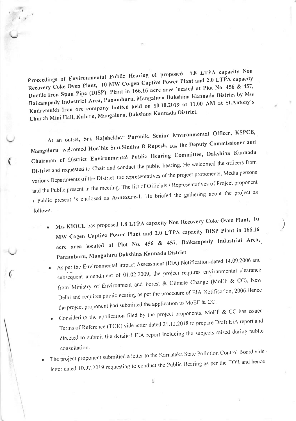Proceedings of Environmental Public Hearing of proposed 1.8 LTPA capacity Non Recovery Coke Oven Plant, 10 MW Co-gen Captive Power Plant and 2.0 LTPA capacity Ductile Iron Spun Pipe (DISP) Plant in 166.16 acre area located at Plot No. 456 & 457, Baikampady Industrial Area, Panamburu, Mangaluru Dakshina Kannada District by M/s Kudremukh lron ore company limit<br>Nangaluri held on 10.10.2019 at 11.00 AM at St.Antony's<br>helshina Kannada District. Church Mini Hall, Kuntru, Mangaluru, Dakshira

At an outset, Sri. Rajshekhar Puranik, Senior Environmental Officer, KSPCB, Mangaluru welcomed Hon'ble Smt.Sindhu B Rupesh, 1AS, the Deputy Commissioner and Chairman of District Environmental Public Hearing Committee, Dakshina Kannada District and requested to Chair and conduct the public hearing. He welcomed the officers from various Departments of the District, the representatives of the project proponents, Media persons and the Public present in the meeting. The list of Officials / Representatives of Project proponent / Public present is enclosed as Annexure-l' He briefed the gathering about the project as follows.

M/s KIOCL has proposed 1.8 LTPA capacity Non Recovery Coke Oven Plant, 10 MW Cogen Captive Power Plant and 2.0 LTPA capacity DISP Plant in 166.16 acre area located at Plot No.  $456$  &  $457$ , Baikampady Industrial Area, Panamburu, Mangaluru Dakshina Kannada District

)

As per the Environmental Impact Assessment (EIA) Notification-dated 14.09.2006 and subsequent amendment of 01.02.2009, the project requires environmental clearance from Ministry of Environment and Forest & Climate Change (MoEF & CC), New Delhi and requires public hearing as per the procedure of EIA Notification, 2006 Hence the project proponent had submitted the application to MoEF  $&$  CC.

(

(,

- Considering the application filed by the project proponents, MoEF & CC has issued Terms of Reference (TOR) vide letter dated 21.12.2018 to prepare Draft EIA report and directed to submit the detailed EIA report including the subjects raised during public consultation '
- The project proponent submitted a feater to the Tatematic Politics and State Politics and hemiletter dated 10.07.2019 requesting to conduct the Public Hearing as per the TOR and hence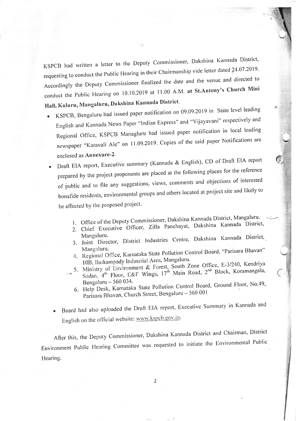KSPCB had written a letter to the Deputy Commissioner, Dakshina Kannada District, requesting to conduct the Public Hearing in their Chairmanship vide letter dated 24.07.2019. Accordingly the Deputy commissioner finalized the date and the venue and directed to conduct the Public Hearing on 10.10.2019 at 11.00 A.M. at St.Antony's Church Mini Hall, Kuluru, Mangaluru, Dakshina Kannada District.

- KSPCB, Bengaluru had issued paper notification on 09.09.2019 in State level leading English and Kannada News Paper "lndian Express" and "Vijayavani" respectively and Regional Office, KSPCB Managluru had issued paper notification in local leading newspaper "Karavali Ale" on 11.09.2019. Copies of the said paper Notifications are enclosed as Annexure-2.
	- . Draft EIA report, Executive summary (Kannada & English), cD of Draft EIA report prepared by the project proponents are placed at the following places for the reference of public and to file any suggestions, views, comments and objections of interested bonafide residents, environmental groups and others located at project site and likely to be affected by the proposed project.
		- 1. Office of the Deputy Commissioner, Dakshina Kannada District, Mangaluru.
		- 2. Chief Executive Officer, Zilla Panchayat, Dakshina Kannada District,<br>Mangaluru.
		- 3. Joint Director, District Industries Centre, Dakshina Kannada District,<br>Mangaluru.
		- 4. Regional Office, Karnataka State Pollution Control Board, "Parisara Bhavan" 10B, Baikampady Industrial Area, Mangaluru.
		- est, South Zone Office, E-3/240, Kendriya
		- 17<sup>th</sup> Main Road, 2<sup>nd</sup> Block, Koramangala Bengaluru  $-560034$ .
			- 6. Help Desk, Karnataka State Pollution Control Board,  $\frac{1}{2}$ Parisara Bhavan, Church Street, Bengaluru - 560 001
		- Board had also uploaded the Draft EIA report, Executive Summary in Kannada and English on the official website: www.kspcb.gov.in.

After this, the Deputy Commissioner, Dakshina Kannada District and Chairman, District Environment Public Hearing Committee was requested to initiate the Environmental Public Hearing.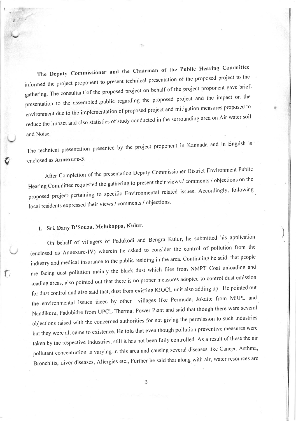The Deputy Commissioner and the Chairman of the Public Hearing Committee informed the project proponent to present technical presentation of the proposed project to the gathering. The consultant of the proposed project on behalf of the project proponent gave brief. presentation to the assembled public regarding the proposed project and the impact on the environment due to the implementation of proposed project and mitigation measures proposed to reduce the impact and also statistics of study conducted in the surrounding area on Air water soil and Noise.

The technical presentation presented by the proiect proponent in Kannada and in English is enclosed as Annexure-3.

After Completion of the presentation Deputy Commissioner District Environment Public Hearing Committee requested the gathering to present their views / comments / objections on the proposed project pertaining to specific Environmental related issues. Accordingly, following local residents expressed their views / comments / objections.

# 1. Sri. Dany D'Souza, Melukoppa, Kulur.

 $\boldsymbol{Q}$ 

 $\left( \begin{array}{c} \end{array} \right)$ 

On behalf of villagers of Padukodi and Bengra Kulur, he submitted his application (enclosed as Annexure-IV) wherein he asked to consider the control of pollution from the industry and medical insurance to the public residing in the area. Continuing he said that people are facing dust pollution mainly the black dust which flies from NMPT Coal unloading and loading areas, also pointed out that there is no proper measures adopted to control dust emission for dust control and also said that, dust from existing KIOCL unit also adding up. He pointed out the environmental issues faced by other villages like Permude, Jokatte from MRPL and Nandikuru, Padubidre from UPCL Thermal Power Plant and said that though there were several objections raised with the concerned authorities for not giving the permission to such industries but they were all came to existence. He told that even though pollution preventive measures were taken by the respective Industries, still it has not been fully controlled. As a result of these the air pollutant concentration is varying in this area and causing several diseases like Cancer, Asthma, Bronchitis, Liver diseases, Allergies etc., Further he said that along with air, water resources are )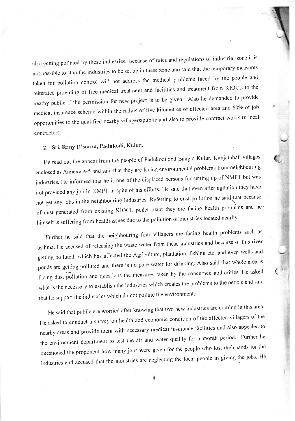also getting polluted by these industries. Because of rules and regulations of industrial zone it is not possible to stop the industries to be set up in these zone and said that the temporary measures taken for pollution control will not address the medical problems faced by the people and reiterated providing of free medical treatment and facilities and treatment from KIOCL to the nearby public if the permission for new project is to be given. Also he demanded to provide. medical insurance scheme within the radius of five kilometres of affected area and 60% of job opportunities to the qualified nearby villagers/public and also to provide contract works to local contractors

## 2. Sri. Rany D'souza, Padukodi, Kulur.

He read out the appeal from the people of Padukodi and Bangra Kulur, Kunjathbail villages enclosed as Annexure-5 and said that they are facing environmental problems from neighbouring industries. He informed that he is one of the displaced persons for setting up of NMPT but was not provided any job in NMPT in spite of his efforts. He said that even after agitation they have not get any jobs in the neighbouring industries. Referring to dust pollution he said that because of dust generated from existing KIOCL pellet plant they are facing health problems and hehimself is suffering from health issues due to the pollution of industries located nearby.

Further he said that the neighbouring four villagers are facing health problems such as asthma. He accused of releasing the waste water from these industries and because of this river getting polluted, which has affected the Agriculture, plantation, fishing etc. and even wells and ponds are getting polluted and there is no pure water for drinking. Also said that whole area is facing dust pollution and questions the measures taken by the concerned authorities. He asked what is the necessary to establish the industries which creates the problems to the people and said that he support the industries which do not pollute the environment.

(

He said that public are worried after knowing that two new industries are coming in this area. He asked to conduct a survey on health and economic condition of the affected villagers of the nearby areas and provide them with necessary medical insurance facilities and also appealed to the environment department to test the air and water quality for a month period. Further he questioned the proponent how many jobs were given for the people who lost their lands for the industries and accused that the industries are neglecting the local people in giving the jobs. He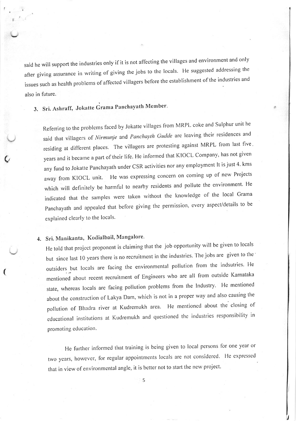said he will support the industries only if it is not affecting the villages and environment and only after giving assurance in writing of giving the jobs to the locals. He suggested addressing the issues such as health problems of affected villagers before the establishment of the industries and also in future.

3. Sri. Ashraff, Jokatte Grama Panchayath Member.

Referring to the problems faced by Jokatte villages from MRPL coke and Sulphur unit he said that villagers of Nirmunje and Panchayth Gudde are leaving their residences and residing at different places. The villagers are protesting against MRPL from last five ' years and it became a part of their life. He informed that KIOCL Company, has not given any fund to Jokatte Panchayath under CSR activities nor any employment It is just 4. kms away from KIOCL unit. He was expressing concern on coming up of new Projects which will definitely be harmful to nearby residents and pollute the environment. He indicated that the samples were taken without the knowledge of the local Grama Panchayath and appealed that before giving the permission, every aspect/details to be explained clearly to the locals.

# 4. Sri. Manikanta, Kodialbail, Mangalore.

 $\bm{\zeta}$ 

(

He told that project proponent is claiming that the job opportunity will be given to locals but since last 10 years there is no recruitment in the industries. The jobs are given to the outsiders but locals are facing the environmental pollution from the indsutries. He mentioned about recent recruitment of Engineers who are all from outside Karnataka state, whereas locals are facing pollution problems from the Industry. He mentioned about the construction of Lakya Dam, which is not in a proper way and also causing the pollution of Bhadra river at Kudremukh area. He mentioned about the closing of educational institutions at Kudremukh and questioned the industries responsibility in promoting education.

He further informed that training is being given to local persons for one year or two years, however, for regular appointments locals are not considered. He expressed that in view of environmental angle, it is better not to start the new project.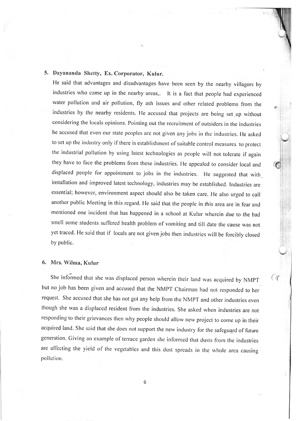#### 5. Dayananda Shetty, Ex. Corporator, Kulur.

He said that advantages and disadvantages have been seen by the nearby villagers by industries who came up in the nearby areas,. It is a fact that people had experienced water pollution and air pollution, fly ash issues and other related problems from the industries by the nearby residents. He accused that projects are being set.up without considering the locals opinions. Pointing out the recruitment of outsiders in the industries he accused that even our state peoples are not given any jobs in the industries. He asked to set up the industry only if there is establishment of suitable control measures to protect the industrial pollution by using latest technologies as people will not tolerate if again they have to face the problems from these industries. He appealed to consider local and displaced people for appointment to jobs in the industries. He suggested that with. installation and improved latest technology, industries may be established. Industries are essential; however, environment aspect should also be taken care. He also urged to call another public Meeting in this regard. He said that the people in this area are in fear and mentioned one incident that has happened in a school at Kulur wherein due to the bad smell some students suffered health problem of vomiting and till date the cause was not yet traced. He said that if locals are not given jobs then industries will be forcibly closed by public.

#### 6. Mrs. \Yilma, Kulur

She informed that she was displaced person wherein their land was acquired by NMPT  $\left( \frac{d}{d} \right)$ but no job has been given and accused that the NMPT Chairrnan had not responded to her request. She accused that she has not got any help from the NMPT and other industries even though she was a displaced resident from the industries. She asked when industries are not responding to their grievances then why people should allow new project to come up in their acquired land. She said that she does not support the new industry for the safeguard of future generation. Giving an example of terrace garden she informed that dusts from the industries are affecting the yield of the vegetables and this dust spreads in the whole area causing pollution.

6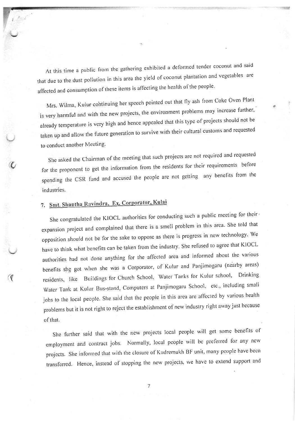At this time a public from the gathering exhibited a deformed tender coconut and said that due to the dust pollution in this area the yield of coconut plantation and vegetables are affected and consumption of these items is affecting the health of the people.

Mrs. Wilma, Kulur cohtinuing her speech pointed out that f1y ash fiom Coke Oven Plant is very harmful and with the new projects, the environment problems may increase further, already temperature is very high and hence appealed that this type of projects should not be taken up and allow the future generation to survive with their cultural customs and requested to conduct another Meeting.

She asked the chairman of the meeting that such projects are not required and requested for the proponent to get the information from the residents for their requirements before spending the CSR fund and accused the people are not getting any benefits fiom the industries.

# 7. Smt. Shantha Ravindra, Ex. Corporator, Kulai

 $\cal C$ 

 $\mathfrak{C}$ 

She congratulated the KIOCL authorities for conducting such a public meeting for their expansion project and complained that there is a smell problem in this area. She told that opposition should not be for the sake to oppose as there is progress in new technology. We have to think what benefits can be taken from the industry. She refused to agree that KIOCL authorities had not done anything for the affected area and informed about the various benefits she got when she was a Corporator, of Kulur and Panjimogaru (nearby areas) residents, like Buildings for Church School, Water Tanks for Kulur school, Drinking Water Tank at Kulur Bus-stand, Computers at Panjimogaru School, etc., including small jobs to the local people. She said that the people in this area are affected by various health problems but it is not right to reject the establishment of new industry right away just because of that.

She further said that with the new projects local people will get some benefits of employment and contract jobs. Normally, local people will be preferred for any new projects. She informed that with the closure of Kudremukh BF unit, many people have been transferred. Hence, instead of stopping the new projects, we have to extend support and

 $\overline{7}$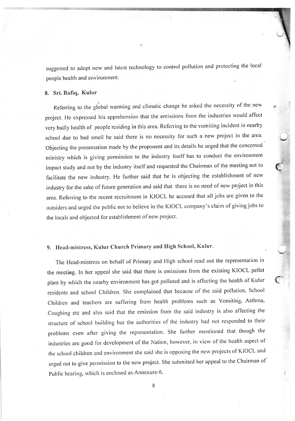suggested to adopt new and latest technology to control pollution and protecting the local people health and environment.

#### 8. Sri. Rafiq, Kulur

Referring to the global warming and climatic change he asked the necessity of the new project. He expressed his apprehension that the emissions from the industries would affect very badly health of people residing in this area. Referring to the vomiting incident in nearby school due to bad smell he said there is no necessity for such a new project in the area. Objecting the presentation made by the proponent and its details he urged that the concerned ministry which is giving permission to the industry itself has to conduct the environment impact study and not by the industry itself and requested the Chairman of the meeting not to facilitate the new industry. He further said that he is objecting the establishment of new industry for the sake of future generation and said that there is no need of new project in this area. Referring to the recent recruitment in KIOCL he accused that all jobs are given to the outsiders and urged the public not to believe in the KIOCL company's claim of giving jobs to the locals and objected for establishment of new project.

### 9. Head-mistress, Kulur Church Primary and High School, Kulur.

The Head-mistress on behalf of Primary and High school read out the representation in the meethg. ln her appeal she said that there is emissions from the existing KIOCL pellet plant by which the nearby environment has got polluted and is affecting the health of Kulur residents and school Children. She complained that because of the said pollution, School Children and teachers are suffering frorn health problerns such as Vomiting, Asthma, Coughing etc and also said that the emission from the said industry is also aflecting the structure of school building but the authorities of the industry had not responded to their problerns even after giving the representation. She further mentioned that though the industries are good for development of the Nation, however, in view of the health aspect of the school children and environment she said she is opposing the nerv projects of KIOCL and urged not to give permission to the new project. She submitted her appeal to the Chairman of Public hearing, which is enclosed as Annexure-6.

8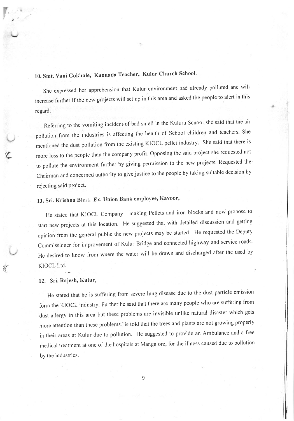# 10. Smt. Vani Gokhale, Kannada Teacher, Kulur Church School.

She expressed her apprehension that Kulur environment had already polluted and will increase further if the new projects will set up in this area and asked the people to alert in this regard.

Referring to the vomiting incident of bad smell in the Kuluru School she said that the air pollution from the industries is affecting the health of School children and teachers. She mentioned the dust pollution from the existing KIOCL pellet industry. She said that there is more loss to the people than the company profit. Opposing the said project she requested not to pollute the environment further by giving permission to the new projects. Requested the chairman and concerned authority to give justice to the people by taking suitable decision by rejecting said project.

# 11. Sri. Krishna Bhat, Ex. Union Bank employee, Kavoor,

He stated that KIOCL Company making Pellets and iron blocks and now propose to start new projects at this location. He suggested that with detailed discussion and getting opinion from the general public the new projects may be started. He requested the Deputy Commissioner for improvement of Kulur Bridge and connected highway and service roads. He desired to know from where the water will be drawn and discharged after the used by KIOCL Ltd.

### - 12. Sri. Rajesh, Kulur,

e

 $\mathcal{C}$ 

He stated that he is suffering from severe lung disease due to the dust particle emission form the KlocL industry. Further he said that there are many people who are suffering from dust allergy in this area but these problems are invisible unlike natural disaster which gets more attention than these problems.He told that the trees and plants are not growing properly in their areas at Kulur due to pollution. He suggested to provide an Ambulance and a free medical treatment at one of the hospitals at Mangalore, for the illness caused due to pollution by the industries.